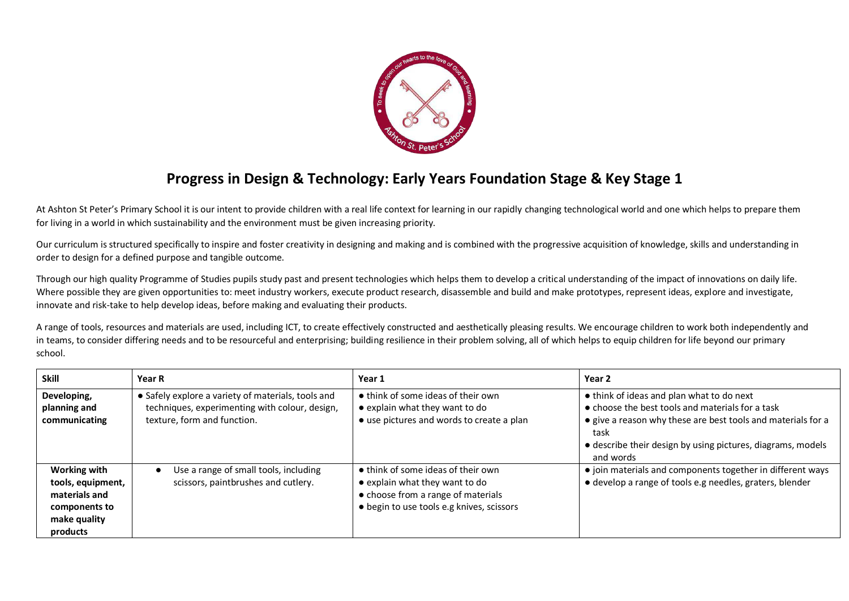

## **Progress in Design & Technology: Early Years Foundation Stage & Key Stage 1**

At Ashton St Peter's Primary School it is our intent to provide children with a real life context for learning in our rapidly changing technological world and one which helps to prepare them for living in a world in which sustainability and the environment must be given increasing priority.

Our curriculum is structured specifically to inspire and foster creativity in designing and making and is combined with the progressive acquisition of knowledge, skills and understanding in order to design for a defined purpose and tangible outcome.

Through our high quality Programme of Studies pupils study past and present technologies which helps them to develop a critical understanding of the impact of innovations on daily life. Where possible they are given opportunities to: meet industry workers, execute product research, disassemble and build and make prototypes, represent ideas, explore and investigate, innovate and risk-take to help develop ideas, before making and evaluating their products.

A range of tools, resources and materials are used, including ICT, to create effectively constructed and aesthetically pleasing results. We encourage children to work both independently and in teams, to consider differing needs and to be resourceful and enterprising; building resilience in their problem solving, all of which helps to equip children for life beyond our primary school.

| <b>Skill</b>                                                                                           | <b>Year R</b>                                                                                                                       | Year 1                                                                                                                                                  | Year 2                                                                                                                                                                                                                                                    |
|--------------------------------------------------------------------------------------------------------|-------------------------------------------------------------------------------------------------------------------------------------|---------------------------------------------------------------------------------------------------------------------------------------------------------|-----------------------------------------------------------------------------------------------------------------------------------------------------------------------------------------------------------------------------------------------------------|
| Developing,<br>planning and<br>communicating                                                           | • Safely explore a variety of materials, tools and<br>techniques, experimenting with colour, design,<br>texture, form and function. | • think of some ideas of their own<br>• explain what they want to do<br>• use pictures and words to create a plan                                       | • think of ideas and plan what to do next<br>$\bullet$ choose the best tools and materials for a task<br>• give a reason why these are best tools and materials for a<br>task<br>• describe their design by using pictures, diagrams, models<br>and words |
| <b>Working with</b><br>tools, equipment,<br>materials and<br>components to<br>make quality<br>products | Use a range of small tools, including<br>scissors, paintbrushes and cutlery.                                                        | • think of some ideas of their own<br>• explain what they want to do<br>• choose from a range of materials<br>• begin to use tools e.g knives, scissors | • join materials and components together in different ways<br>• develop a range of tools e.g needles, graters, blender                                                                                                                                    |